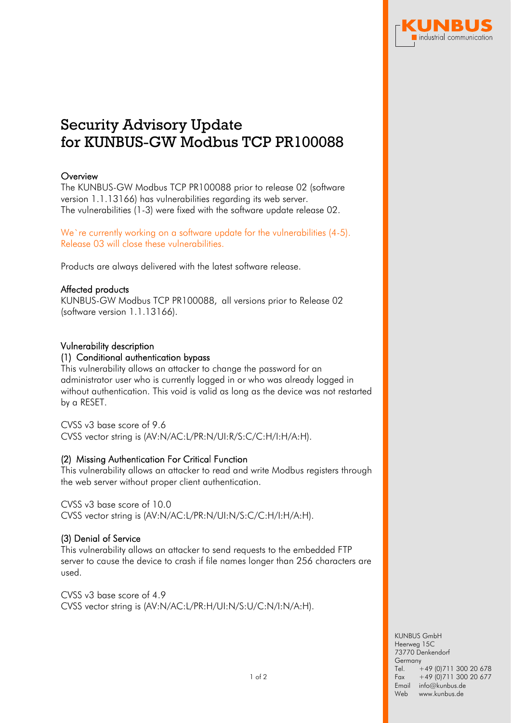

# Security Advisory Update for KUNBUS-GW Modbus TCP PR100088

# **Overview**

The KUNBUS-GW Modbus TCP PR100088 prior to release 02 (software version 1.1.13166) has vulnerabilities regarding its web server. The vulnerabilities (1-3) were fixed with the software update release 02.

We're currently working on a software update for the vulnerabilities (4-5). Release 03 will close these vulnerabilities.

Products are always delivered with the latest software release.

## Affected products

KUNBUS-GW Modbus TCP PR100088, all versions prior to Release 02 (software version 1.1.13166).

## Vulnerability description

#### (1) Conditional authentication bypass

This vulnerability allows an attacker to change the password for an administrator user who is currently logged in or who was already logged in without authentication. This void is valid as long as the device was not restarted by a RESET.

CVSS v3 base score of 9.6

CVSS vector string is (AV:N/AC:L/PR:N/UI:R/S:C/C:H/I:H/A:H).

## (2) Missing Authentication For Critical Function

This vulnerability allows an attacker to read and write Modbus registers through the web server without proper client authentication.

CVSS v3 base score of 10.0 CVSS vector string is (AV:N/AC:L/PR:N/UI:N/S:C/C:H/I:H/A:H).

# (3) Denial of Service

This vulnerability allows an attacker to send requests to the embedded FTP server to cause the device to crash if file names longer than 256 characters are used.

CVSS v3 base score of 4.9 CVSS vector string is (AV:N/AC:L/PR:H/UI:N/S:U/C:N/I:N/A:H).